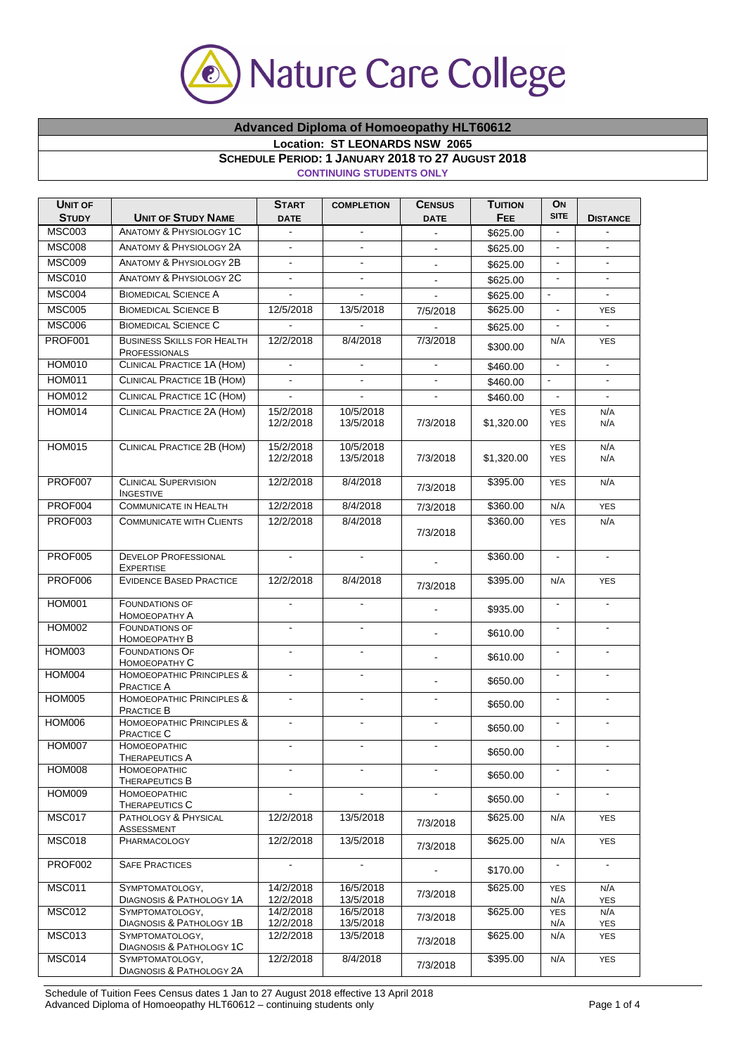

## **Advanced Diploma of Homoeopathy HLT60612**

**Location: ST LEONARDS NSW 2065** 

## **SCHEDULE PERIOD: 1 JANUARY 2018 TO 27 AUGUST 2018**

**CONTINUING STUDENTS ONLY**

| <b>UNIT OF</b><br><b>STUDY</b> | <b>UNIT OF STUDY NAME</b>                                               | <b>START</b><br><b>DATE</b> | <b>COMPLETION</b>      | <b>CENSUS</b><br><b>DATE</b> | <b>TUITION</b><br>FEE | ON<br><b>SITE</b>        | <b>DISTANCE</b>   |
|--------------------------------|-------------------------------------------------------------------------|-----------------------------|------------------------|------------------------------|-----------------------|--------------------------|-------------------|
| <b>MSC003</b>                  | <b>ANATOMY &amp; PHYSIOLOGY 1C</b>                                      |                             | $\blacksquare$         |                              | \$625.00              |                          |                   |
| <b>MSC008</b>                  | <b>ANATOMY &amp; PHYSIOLOGY 2A</b>                                      |                             |                        |                              | \$625.00              |                          | $\blacksquare$    |
| <b>MSC009</b>                  | <b>ANATOMY &amp; PHYSIOLOGY 2B</b>                                      | $\blacksquare$              | $\blacksquare$         | $\blacksquare$               | \$625.00              | $\blacksquare$           |                   |
| <b>MSC010</b>                  | <b>ANATOMY &amp; PHYSIOLOGY 2C</b>                                      | $\blacksquare$              | $\blacksquare$         | $\blacksquare$               | \$625.00              | $\blacksquare$           | $\blacksquare$    |
| <b>MSC004</b>                  | <b>BIOMEDICAL SCIENCE A</b>                                             |                             | ÷.                     |                              | \$625.00              | $\Box$                   | $\blacksquare$    |
| <b>MSC005</b>                  | <b>BIOMEDICAL SCIENCE B</b>                                             | 12/5/2018                   | 13/5/2018              | 7/5/2018                     | \$625.00              | $\Box$                   | <b>YES</b>        |
| <b>MSC006</b>                  | <b>BIOMEDICAL SCIENCE C</b>                                             |                             |                        |                              | \$625.00              | $\blacksquare$           | $\mathbf{r}$      |
| PROF001                        | <b>BUSINESS SKILLS FOR HEALTH</b><br><b>PROFESSIONALS</b>               | 12/2/2018                   | 8/4/2018               | 7/3/2018                     | \$300.00              | N/A                      | <b>YES</b>        |
| <b>HOM010</b>                  | <b>CLINICAL PRACTICE 1A (HOM)</b>                                       |                             | $\blacksquare$         |                              | \$460.00              | $\Box$                   | $\blacksquare$    |
| <b>HOM011</b>                  | CLINICAL PRACTICE 1B (HOM)                                              |                             |                        |                              | \$460.00              | $\blacksquare$           |                   |
| <b>HOM012</b>                  | CLINICAL PRACTICE 1C (HOM)                                              |                             |                        |                              | \$460.00              |                          |                   |
| <b>HOM014</b>                  | CLINICAL PRACTICE 2A (HOM)                                              | 15/2/2018<br>12/2/2018      | 10/5/2018<br>13/5/2018 | 7/3/2018                     | \$1,320.00            | <b>YES</b><br><b>YES</b> | N/A<br>N/A        |
| <b>HOM015</b>                  | <b>CLINICAL PRACTICE 2B (HOM)</b>                                       | 15/2/2018<br>12/2/2018      | 10/5/2018<br>13/5/2018 | 7/3/2018                     | \$1,320.00            | <b>YES</b><br><b>YES</b> | N/A<br>N/A        |
| PROF007                        | <b>CLINICAL SUPERVISION</b><br><b>INGESTIVE</b>                         | 12/2/2018                   | 8/4/2018               | 7/3/2018                     | \$395.00              | <b>YES</b>               | N/A               |
| PROF004                        | <b>COMMUNICATE IN HEALTH</b>                                            | 12/2/2018                   | 8/4/2018               | 7/3/2018                     | \$360.00              | N/A                      | <b>YES</b>        |
| PROF003                        | <b>COMMUNICATE WITH CLIENTS</b>                                         | 12/2/2018                   | 8/4/2018               | 7/3/2018                     | \$360.00              | <b>YES</b>               | N/A               |
| <b>PROF005</b>                 | <b>DEVELOP PROFESSIONAL</b><br><b>EXPERTISE</b>                         | $\blacksquare$              | $\blacksquare$         |                              | \$360.00              | $\blacksquare$           | $\blacksquare$    |
| <b>PROF006</b>                 | <b>EVIDENCE BASED PRACTICE</b>                                          | 12/2/2018                   | 8/4/2018               | 7/3/2018                     | \$395.00              | N/A                      | <b>YES</b>        |
| <b>HOM001</b>                  | <b>FOUNDATIONS OF</b><br>HOMOEOPATHY A                                  |                             | $\blacksquare$         |                              | \$935.00              | $\blacksquare$           | $\blacksquare$    |
| <b>HOM002</b>                  | <b>FOUNDATIONS OF</b><br>HOMOEOPATHY B                                  |                             | $\blacksquare$         | $\blacksquare$               | \$610.00              | $\blacksquare$           | $\mathbf{r}$      |
| <b>HOM003</b>                  | <b>FOUNDATIONS OF</b><br>Номоеоратну С                                  |                             |                        | $\blacksquare$               | \$610.00              |                          |                   |
| <b>HOM004</b>                  | HOMOEOPATHIC PRINCIPLES &<br><b>PRACTICE A</b>                          | $\blacksquare$              | $\blacksquare$         | $\blacksquare$               | \$650.00              | $\blacksquare$           | $\blacksquare$    |
| <b>HOM005</b>                  | HOMOEOPATHIC PRINCIPLES &<br><b>PRACTICE B</b>                          | $\blacksquare$              | $\blacksquare$         | $\blacksquare$               | \$650.00              | $\blacksquare$           | $\blacksquare$    |
| <b>HOM006</b>                  | HOMOEOPATHIC PRINCIPLES &<br>PRACTICE C                                 | $\blacksquare$              | ÷.                     | $\blacksquare$               | \$650.00              | $\blacksquare$           | $\blacksquare$    |
| <b>HOM007</b>                  | <b>HOMOEOPATHIC</b><br><b>I HERAPEUTICS A</b>                           | $\blacksquare$              | $\blacksquare$         | $\blacksquare$               | \$650.00              | $\blacksquare$           | $\blacksquare$    |
| HOM008                         | HOMOEOPATHIC<br><b>THERAPEUTICS B</b>                                   |                             |                        |                              | \$650.00              |                          |                   |
| <b>HOM009</b>                  | HOMOEOPATHIC<br><b>THERAPEUTICS C</b>                                   |                             |                        |                              | \$650.00              |                          |                   |
| MSC017                         | PATHOLOGY & PHYSICAL<br>ASSESSMENT                                      | 12/2/2018                   | 13/5/2018              | 7/3/2018                     | \$625.00              | N/A                      | <b>YES</b>        |
| <b>MSC018</b>                  | PHARMACOLOGY                                                            | 12/2/2018                   | 13/5/2018              | 7/3/2018                     | \$625.00              | N/A                      | <b>YES</b>        |
| PROF002                        | <b>SAFE PRACTICES</b>                                                   | $\blacksquare$              | $\blacksquare$         |                              | \$170.00              | $\blacksquare$           | $\blacksquare$    |
| <b>MSC011</b>                  | SYMPTOMATOLOGY,<br><b>DIAGNOSIS &amp; PATHOLOGY 1A</b>                  | 14/2/2018<br>12/2/2018      | 16/5/2018<br>13/5/2018 | 7/3/2018                     | \$625.00              | <b>YES</b><br>N/A        | N/A<br><b>YES</b> |
| <b>MSC012</b>                  | SYMPTOMATOLOGY,                                                         | 14/2/2018                   | 16/5/2018              | 7/3/2018                     | \$625.00              | <b>YES</b>               | N/A               |
| MSC013                         | DIAGNOSIS & PATHOLOGY 1B<br>SYMPTOMATOLOGY,<br>DIAGNOSIS & PATHOLOGY 1C | 12/2/2018<br>12/2/2018      | 13/5/2018<br>13/5/2018 | 7/3/2018                     | \$625.00              | N/A<br>N/A               | YES<br><b>YES</b> |
| MSC014                         | SYMPTOMATOLOGY,<br><b>DIAGNOSIS &amp; PATHOLOGY 2A</b>                  | 12/2/2018                   | 8/4/2018               | 7/3/2018                     | \$395.00              | N/A                      | <b>YES</b>        |

Schedule of Tuition Fees Census dates 1 Jan to 27 August 2018 effective 13 April 2018 Advanced Diploma of Homoeopathy HLT60612 – continuing students only Page 1 of 4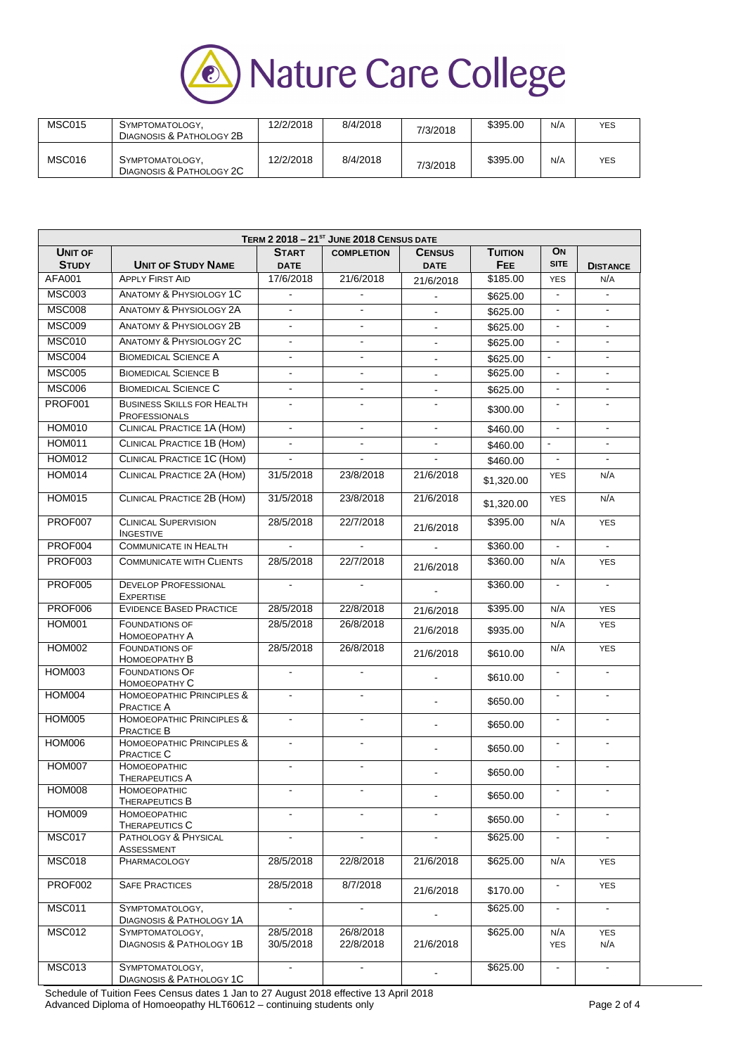

| <b>MSC015</b> | SYMPTOMATOLOGY,<br>DIAGNOSIS & PATHOLOGY 2B | 12/2/2018 | 8/4/2018 | 7/3/2018 | \$395.00 | N/A | <b>YES</b> |
|---------------|---------------------------------------------|-----------|----------|----------|----------|-----|------------|
| MSC016        | SYMPTOMATOLOGY.<br>DIAGNOSIS & PATHOLOGY 2C | 12/2/2018 | 8/4/2018 | 7/3/2018 | \$395.00 | N/A | <b>YES</b> |

|                                | TERM 2 2018 - 21 <sup>st</sup> JUNE 2018 CENSUS DATE      |                             |                        |                              |                       |                   |                   |  |
|--------------------------------|-----------------------------------------------------------|-----------------------------|------------------------|------------------------------|-----------------------|-------------------|-------------------|--|
| <b>UNIT OF</b><br><b>STUDY</b> | <b>UNIT OF STUDY NAME</b>                                 | <b>START</b><br><b>DATE</b> | <b>COMPLETION</b>      | <b>CENSUS</b><br><b>DATE</b> | <b>TUITION</b><br>FEE | ON<br><b>SITE</b> | <b>DISTANCE</b>   |  |
| <b>AFA001</b>                  | <b>APPLY FIRST AID</b>                                    | 17/6/2018                   | 21/6/2018              | 21/6/2018                    | \$185.00              | <b>YES</b>        | N/A               |  |
| <b>MSC003</b>                  | <b>ANATOMY &amp; PHYSIOLOGY 1C</b>                        | $\overline{\phantom{a}}$    | $\blacksquare$         |                              | \$625.00              | $\blacksquare$    | $\blacksquare$    |  |
| <b>MSC008</b>                  | <b>ANATOMY &amp; PHYSIOLOGY 2A</b>                        | $\mathbf{u}$                | $\blacksquare$         |                              | \$625.00              | $\blacksquare$    | $\sim$            |  |
| <b>MSC009</b>                  | <b>ANATOMY &amp; PHYSIOLOGY 2B</b>                        |                             | $\blacksquare$         |                              | \$625.00              | $\blacksquare$    |                   |  |
| <b>MSC010</b>                  | <b>ANATOMY &amp; PHYSIOLOGY 2C</b>                        | ä,                          | $\blacksquare$         |                              | \$625.00              | ä,                | $\mathbf{r}$      |  |
| MSC004                         | <b>BIOMEDICAL SCIENCE A</b>                               |                             |                        |                              | \$625.00              | $\blacksquare$    |                   |  |
| <b>MSC005</b>                  | <b>BIOMEDICAL SCIENCE B</b>                               |                             |                        |                              | \$625.00              |                   |                   |  |
| <b>MSC006</b>                  | <b>BIOMEDICAL SCIENCE C</b>                               |                             |                        | $\blacksquare$               | \$625.00              | $\blacksquare$    |                   |  |
| PROF001                        | <b>BUSINESS SKILLS FOR HEALTH</b><br><b>PROFESSIONALS</b> | $\blacksquare$              | $\blacksquare$         | $\mathbf{r}$                 | \$300.00              | $\blacksquare$    | $\blacksquare$    |  |
| <b>HOM010</b>                  | <b>CLINICAL PRACTICE 1A (HOM)</b>                         | $\blacksquare$              | $\blacksquare$         | $\blacksquare$               | \$460.00              | $\blacksquare$    | $\blacksquare$    |  |
| <b>HOM011</b>                  | <b>CLINICAL PRACTICE 1B (HOM)</b>                         | $\blacksquare$              | $\blacksquare$         | $\blacksquare$               | \$460.00              | $\blacksquare$    | $\blacksquare$    |  |
| <b>HOM012</b>                  | <b>CLINICAL PRACTICE 1C (HOM)</b>                         |                             |                        |                              | \$460.00              | ä,                | $\mathbf{r}$      |  |
| <b>HOM014</b>                  | CLINICAL PRACTICE 2A (HOM)                                | 31/5/2018                   | 23/8/2018              | 21/6/2018                    | \$1,320.00            | <b>YES</b>        | N/A               |  |
| <b>HOM015</b>                  | CLINICAL PRACTICE 2B (HOM)                                | 31/5/2018                   | 23/8/2018              | 21/6/2018                    | \$1,320.00            | <b>YES</b>        | N/A               |  |
| PROF007                        | <b>CLINICAL SUPERVISION</b><br><b>INGESTIVE</b>           | 28/5/2018                   | 22/7/2018              | 21/6/2018                    | \$395.00              | N/A               | <b>YES</b>        |  |
| PROF004                        | <b>COMMUNICATE IN HEALTH</b>                              |                             |                        |                              | \$360.00              |                   |                   |  |
| PROF003                        | <b>COMMUNICATE WITH CLIENTS</b>                           | 28/5/2018                   | 22/7/2018              | 21/6/2018                    | \$360.00              | N/A               | <b>YES</b>        |  |
| <b>PROF005</b>                 | <b>DEVELOP PROFESSIONAL</b><br><b>EXPERTISE</b>           | $\sim$                      | $\sim$                 |                              | \$360.00              | $\blacksquare$    | $\blacksquare$    |  |
| <b>PROF006</b>                 | <b>EVIDENCE BASED PRACTICE</b>                            | 28/5/2018                   | 22/8/2018              | 21/6/2018                    | \$395.00              | N/A               | <b>YES</b>        |  |
| <b>HOM001</b>                  | <b>FOUNDATIONS OF</b><br>НОМОЕОРАТНУ А                    | 28/5/2018                   | 26/8/2018              | 21/6/2018                    | \$935.00              | N/A               | <b>YES</b>        |  |
| <b>HOM002</b>                  | <b>FOUNDATIONS OF</b><br>Номоеоратну В                    | 28/5/2018                   | 26/8/2018              | 21/6/2018                    | \$610.00              | N/A               | <b>YES</b>        |  |
| <b>HOM003</b>                  | <b>FOUNDATIONS OF</b><br>HOMOEOPATHY C                    |                             |                        |                              | \$610.00              |                   |                   |  |
| <b>HOM004</b>                  | HOMOEOPATHIC PRINCIPLES &<br>PRACTICE A                   |                             |                        | $\blacksquare$               | \$650.00              |                   | $\mathbf{r}$      |  |
| <b>HOM005</b>                  | HOMOEOPATHIC PRINCIPLES &<br><b>PRACTICE B</b>            | $\blacksquare$              | $\blacksquare$         | $\blacksquare$               | \$650.00              | $\blacksquare$    | $\blacksquare$    |  |
| <b>HOM006</b>                  | HOMOEOPATHIC PRINCIPLES &<br>PRACTICE C                   | $\blacksquare$              | $\blacksquare$         |                              | \$650.00              | $\blacksquare$    |                   |  |
| <b>HOM007</b>                  | <b>НОМОЕОРАТНІС</b><br><b>THERAPEUTICS A</b>              | $\blacksquare$              | $\blacksquare$         |                              | \$650.00              | $\blacksquare$    | $\blacksquare$    |  |
| <b>HOM008</b>                  | <b>HOMOEOPATHIC</b><br><b>THERAPEUTICS B</b>              | ٠                           | ٠                      | $\blacksquare$               | \$650.00              | $\blacksquare$    |                   |  |
| <b>HOM009</b>                  | HOMOEOPATHIC<br>THERAPEUTICS C                            | $\overline{a}$              | $\blacksquare$         |                              | \$650.00              | $\blacksquare$    | $\blacksquare$    |  |
| <b>MSC017</b>                  | PATHOLOGY & PHYSICAL<br>ASSESSMENT                        |                             |                        |                              | \$625.00              | $\blacksquare$    |                   |  |
| <b>MSC018</b>                  | PHARMACOLOGY                                              | 28/5/2018                   | 22/8/2018              | 21/6/2018                    | \$625.00              | N/A               | <b>YES</b>        |  |
| PROF002                        | <b>SAFE PRACTICES</b>                                     | 28/5/2018                   | 8/7/2018               | 21/6/2018                    | \$170.00              | $\blacksquare$    | <b>YES</b>        |  |
| <b>MSC011</b>                  | SYMPTOMATOLOGY,<br>DIAGNOSIS & PATHOLOGY 1A               | $\tilde{\phantom{a}}$       |                        |                              | \$625.00              | $\blacksquare$    | $\blacksquare$    |  |
| <b>MSC012</b>                  | SYMPTOMATOLOGY,<br><b>DIAGNOSIS &amp; PATHOLOGY 1B</b>    | 28/5/2018<br>30/5/2018      | 26/8/2018<br>22/8/2018 | 21/6/2018                    | \$625.00              | N/A<br><b>YES</b> | <b>YES</b><br>N/A |  |
| <b>MSC013</b>                  | SYMPTOMATOLOGY,<br>DIAGNOSIS & PATHOLOGY 1C               | $\blacksquare$              | $\blacksquare$         |                              | \$625.00              | $\blacksquare$    | $\blacksquare$    |  |

Schedule of Tuition Fees Census dates 1 Jan to 27 August 2018 effective 13 April 2018 Advanced Diploma of Homoeopathy HLT60612 – continuing students only Page 2 of 4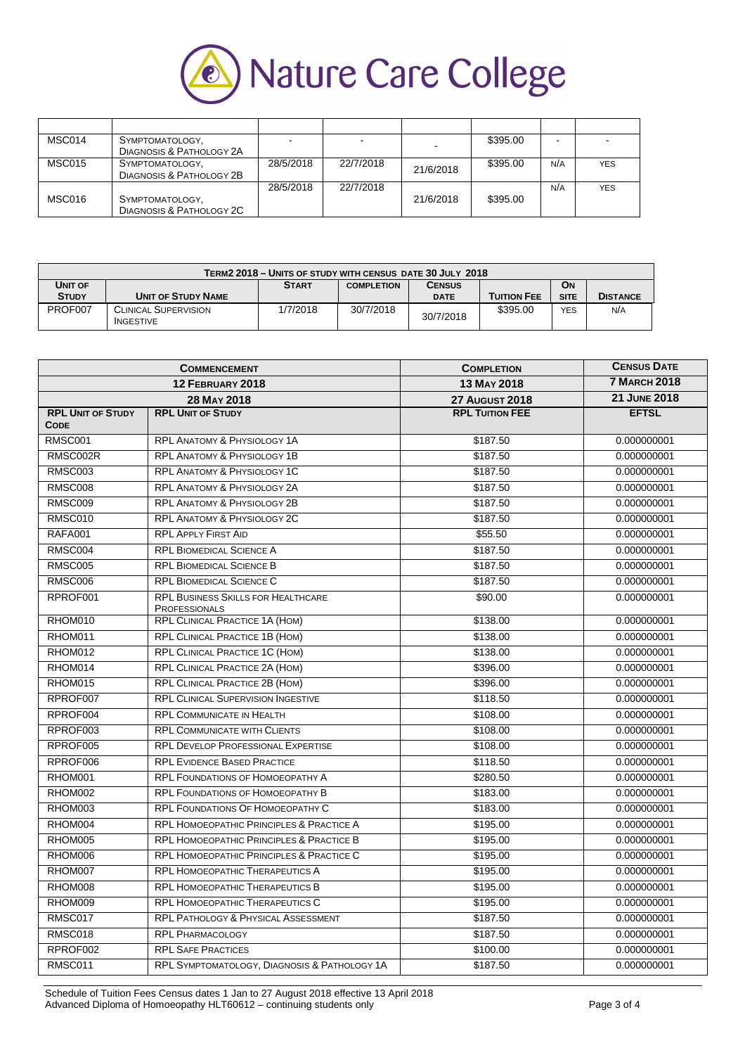

| MSC014 | SYMPTOMATOLOGY,          |           |           |           | \$395.00 | -   |            |
|--------|--------------------------|-----------|-----------|-----------|----------|-----|------------|
|        | DIAGNOSIS & PATHOLOGY 2A |           |           |           |          |     |            |
| MSC015 | SYMPTOMATOLOGY,          | 28/5/2018 | 22/7/2018 | 21/6/2018 | \$395.00 | N/A | <b>YES</b> |
|        | DIAGNOSIS & PATHOLOGY 2B |           |           |           |          |     |            |
|        |                          | 28/5/2018 | 22/7/2018 |           |          | N/A | <b>YES</b> |
| MSC016 | SYMPTOMATOLOGY,          |           |           | 21/6/2018 | \$395.00 |     |            |
|        | DIAGNOSIS & PATHOLOGY 2C |           |           |           |          |     |            |

| TERM2 2018 - UNITS OF STUDY WITH CENSUS DATE 30 JULY 2018 |                                                                 |          |           |             |                    |             |                 |
|-----------------------------------------------------------|-----------------------------------------------------------------|----------|-----------|-------------|--------------------|-------------|-----------------|
| UNIT OF                                                   | <b>ON</b><br><b>START</b><br><b>CENSUS</b><br><b>COMPLETION</b> |          |           |             |                    |             |                 |
| <b>STUDY</b>                                              | <b>UNIT OF STUDY NAME</b>                                       |          |           | <b>DATE</b> | <b>TUITION FEE</b> | <b>SITE</b> | <b>DISTANCE</b> |
| PROF007                                                   | <b>CLINICAL SUPERVISION</b><br><b>INGESTIVE</b>                 | 1/7/2018 | 30/7/2018 | 30/7/2018   | \$395.00           | <b>YES</b>  | N/A             |

|                                         | <b>COMMENCEMENT</b>                                               | <b>COMPLETION</b>      | <b>CENSUS DATE</b>  |
|-----------------------------------------|-------------------------------------------------------------------|------------------------|---------------------|
|                                         | 12 FEBRUARY 2018                                                  | <b>13 MAY 2018</b>     | <b>7 MARCH 2018</b> |
|                                         | 28 MAY 2018                                                       | <b>27 AUGUST 2018</b>  | <b>21 JUNE 2018</b> |
| <b>RPL UNIT OF STUDY</b><br><b>CODE</b> | <b>RPL UNIT OF STUDY</b>                                          | <b>RPL TUITION FEE</b> | <b>EFTSL</b>        |
| <b>RMSC001</b>                          | <b>RPL ANATOMY &amp; PHYSIOLOGY 1A</b>                            | \$187.50               | 0.000000001         |
| RMSC002R                                | <b>RPL ANATOMY &amp; PHYSIOLOGY 1B</b>                            | \$187.50               | 0.000000001         |
| <b>RMSC003</b>                          | RPL ANATOMY & PHYSIOLOGY 1C                                       | \$187.50               | 0.000000001         |
| <b>RMSC008</b>                          | <b>RPL ANATOMY &amp; PHYSIOLOGY 2A</b>                            | \$187.50               | 0.000000001         |
| <b>RMSC009</b>                          | <b>RPL ANATOMY &amp; PHYSIOLOGY 2B</b>                            | \$187.50               | 0.000000001         |
| RMSC010                                 | RPL ANATOMY & PHYSIOLOGY 2C                                       | \$187.50               | 0.000000001         |
| <b>RAFA001</b>                          | <b>RPL APPLY FIRST AID</b>                                        | \$55.50                | 0.000000001         |
| RMSC004                                 | <b>RPL BIOMEDICAL SCIENCE A</b>                                   | \$187.50               | 0.000000001         |
| <b>RMSC005</b>                          | <b>RPL BIOMEDICAL SCIENCE B</b>                                   | \$187.50               | 0.000000001         |
| <b>RMSC006</b>                          | <b>RPL BIOMEDICAL SCIENCE C</b>                                   | \$187.50               | 0.000000001         |
| RPROF001                                | <b>RPL BUSINESS SKILLS FOR HEALTHCARE</b><br><b>PROFESSIONALS</b> | \$90.00                | 0.000000001         |
| RHOM010                                 | <b>RPL CLINICAL PRACTICE 1A (HOM)</b>                             | \$138.00               | 0.000000001         |
| RHOM011                                 | RPL CLINICAL PRACTICE 1B (HOM)                                    | \$138.00               | 0.000000001         |
| RHOM012                                 | RPL CLINICAL PRACTICE 1C (HOM)                                    | \$138.00               | 0.000000001         |
| RHOM014                                 | <b>RPL CLINICAL PRACTICE 2A (HOM)</b>                             | \$396.00               | 0.000000001         |
| RHOM015                                 | RPL CLINICAL PRACTICE 2B (HOM)                                    | \$396.00               | 0.000000001         |
| RPROF007                                | RPL CLINICAL SUPERVISION INGESTIVE                                | \$118.50               | 0.000000001         |
| RPROF004                                | <b>RPL COMMUNICATE IN HEALTH</b>                                  | \$108.00               | 0.000000001         |
| RPROF003                                | <b>RPL COMMUNICATE WITH CLIENTS</b>                               | \$108.00               | 0.000000001         |
| RPROF005                                | <b>RPL DEVELOP PROFESSIONAL EXPERTISE</b>                         | \$108.00               | 0.000000001         |
| RPROF006                                | <b>RPL EVIDENCE BASED PRACTICE</b>                                | \$118.50               | 0.000000001         |
| RHOM001                                 | <b>RPL FOUNDATIONS OF HOMOEOPATHY A</b>                           | \$280.50               | 0.000000001         |
| RHOM002                                 | <b>RPL FOUNDATIONS OF HOMOEOPATHY B</b>                           | \$183.00               | 0.000000001         |
| RHOM003                                 | <b>RPL FOUNDATIONS OF HOMOEOPATHY C</b>                           | \$183.00               | 0.000000001         |
| RHOM004                                 | <b>RPL HOMOEOPATHIC PRINCIPLES &amp; PRACTICE A</b>               | \$195.00               | 0.000000001         |
| RHOM005                                 | <b>RPL HOMOEOPATHIC PRINCIPLES &amp; PRACTICE B</b>               | \$195.00               | 0.000000001         |
| RHOM006                                 | <b>RPL HOMOEOPATHIC PRINCIPLES &amp; PRACTICE C</b>               | \$195.00               | 0.000000001         |
| RHOM007                                 | <b>RPL HOMOEOPATHIC THERAPEUTICS A</b>                            | \$195.00               | 0.000000001         |
| RHOM008                                 | <b>RPL HOMOEOPATHIC THERAPEUTICS B</b>                            | \$195.00               | 0.000000001         |
| RHOM009                                 | <b>RPL HOMOEOPATHIC THERAPEUTICS C</b>                            | \$195.00               | 0.000000001         |
| RMSC017                                 | <b>RPL PATHOLOGY &amp; PHYSICAL ASSESSMENT</b>                    | \$187.50               | 0.000000001         |
| RMSC018                                 | <b>RPL PHARMACOLOGY</b>                                           | \$187.50               | 0.000000001         |
| RPROF002                                | <b>RPL SAFE PRACTICES</b>                                         | \$100.00               | 0.000000001         |
| RMSC011                                 | RPL SYMPTOMATOLOGY, DIAGNOSIS & PATHOLOGY 1A                      | \$187.50               | 0.000000001         |

Schedule of Tuition Fees Census dates 1 Jan to 27 August 2018 effective 13 April 2018 Advanced Diploma of Homoeopathy HLT60612 – continuing students only Page 3 of 4